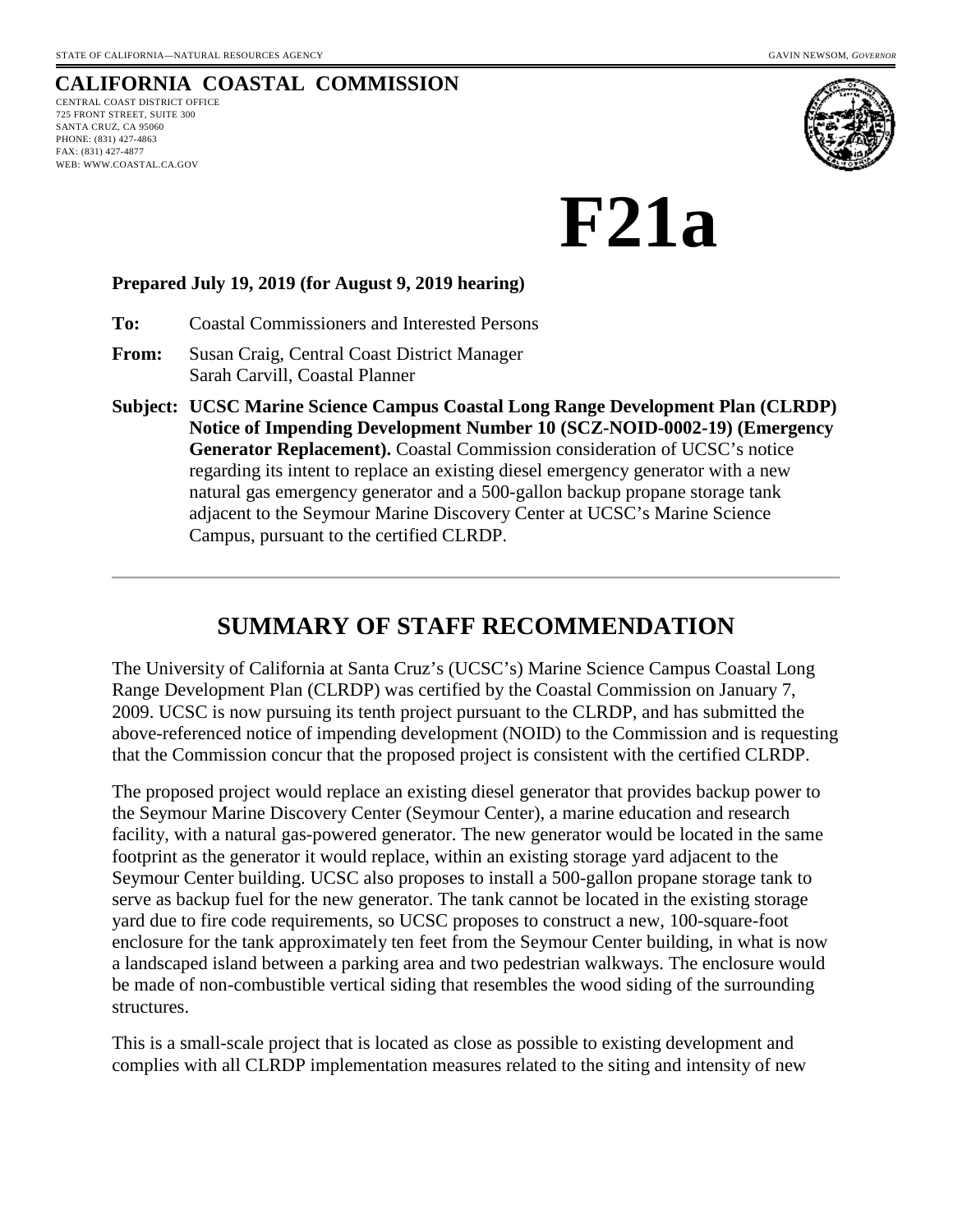## **CALIFORNIA COASTAL COMMISSION**

CENTRAL COAST DISTRICT OFFICE 725 FRONT STREET, SUITE 300 SANTA CRUZ, CA 95060 PHONE: (831) 427-4863 FAX: (831) 427-4877 WEB: WWW.COASTAL.CA.GOV



# **F21a**

#### **Prepared July 19, 2019 (for August 9, 2019 hearing)**

**To:** Coastal Commissioners and Interested Persons

- **From:** Susan Craig, Central Coast District Manager Sarah Carvill, Coastal Planner
- **Subject: UCSC Marine Science Campus Coastal Long Range Development Plan (CLRDP) Notice of Impending Development Number 10 (SCZ-NOID-0002-19) (Emergency Generator Replacement).** Coastal Commission consideration of UCSC's notice regarding its intent to replace an existing diesel emergency generator with a new natural gas emergency generator and a 500-gallon backup propane storage tank adjacent to the Seymour Marine Discovery Center at UCSC's Marine Science Campus, pursuant to the certified CLRDP.

## **SUMMARY OF STAFF RECOMMENDATION**

The University of California at Santa Cruz's (UCSC's) Marine Science Campus Coastal Long Range Development Plan (CLRDP) was certified by the Coastal Commission on January 7, 2009. UCSC is now pursuing its tenth project pursuant to the CLRDP, and has submitted the above-referenced notice of impending development (NOID) to the Commission and is requesting that the Commission concur that the proposed project is consistent with the certified CLRDP.

The proposed project would replace an existing diesel generator that provides backup power to the Seymour Marine Discovery Center (Seymour Center), a marine education and research facility, with a natural gas-powered generator. The new generator would be located in the same footprint as the generator it would replace, within an existing storage yard adjacent to the Seymour Center building. UCSC also proposes to install a 500-gallon propane storage tank to serve as backup fuel for the new generator. The tank cannot be located in the existing storage yard due to fire code requirements, so UCSC proposes to construct a new, 100-square-foot enclosure for the tank approximately ten feet from the Seymour Center building, in what is now a landscaped island between a parking area and two pedestrian walkways. The enclosure would be made of non-combustible vertical siding that resembles the wood siding of the surrounding structures.

This is a small-scale project that is located as close as possible to existing development and complies with all CLRDP implementation measures related to the siting and intensity of new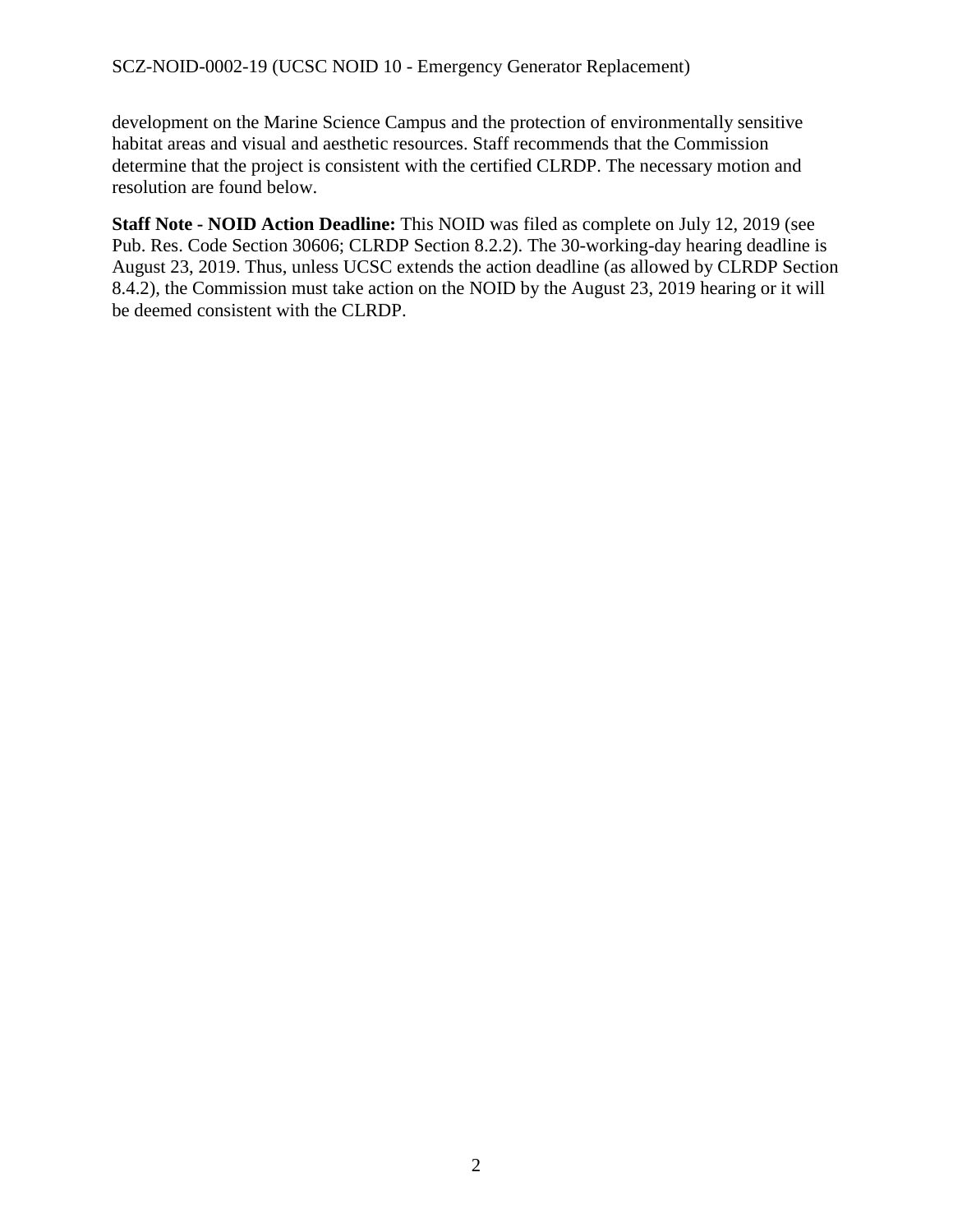development on the Marine Science Campus and the protection of environmentally sensitive habitat areas and visual and aesthetic resources. Staff recommends that the Commission determine that the project is consistent with the certified CLRDP. The necessary motion and resolution are found below.

**Staff Note - NOID Action Deadline:** This NOID was filed as complete on July 12, 2019 (see Pub. Res. Code Section 30606; CLRDP Section 8.2.2). The 30-working-day hearing deadline is August 23, 2019. Thus, unless UCSC extends the action deadline (as allowed by CLRDP Section 8.4.2), the Commission must take action on the NOID by the August 23, 2019 hearing or it will be deemed consistent with the CLRDP.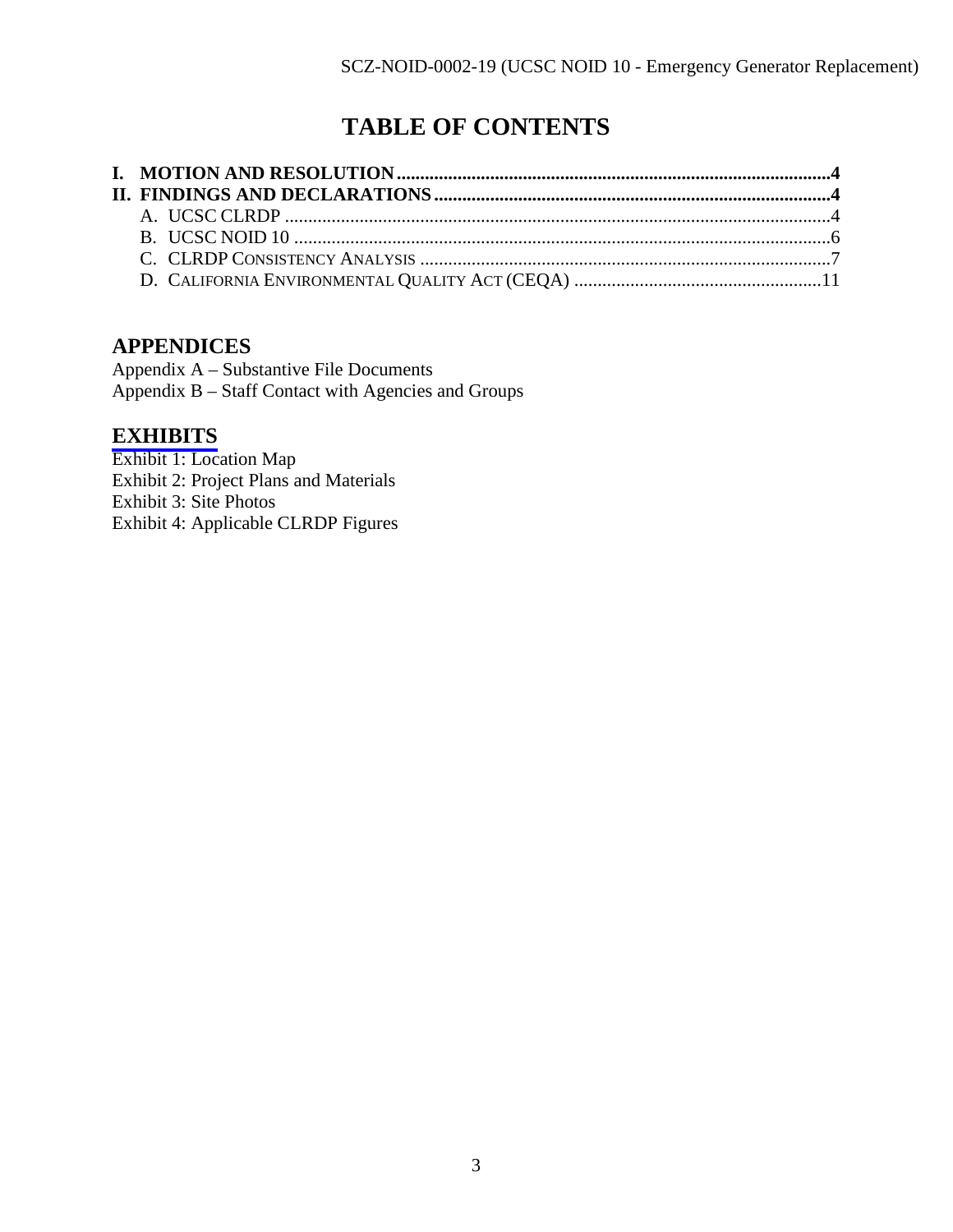# **TABLE OF CONTENTS**

## **APPENDICES**

Appendix A – Substantive File Documents Appendix B – Staff Contact with Agencies and Groups

## **[EXHIBITS](https://documents.coastal.ca.gov/reports/2019/8/f21a/f21a-8-2019-exhibits.pdf)**

Exhibit 1: Location Map Exhibit 2: Project Plans and Materials Exhibit 3: Site Photos Exhibit 4: Applicable CLRDP Figures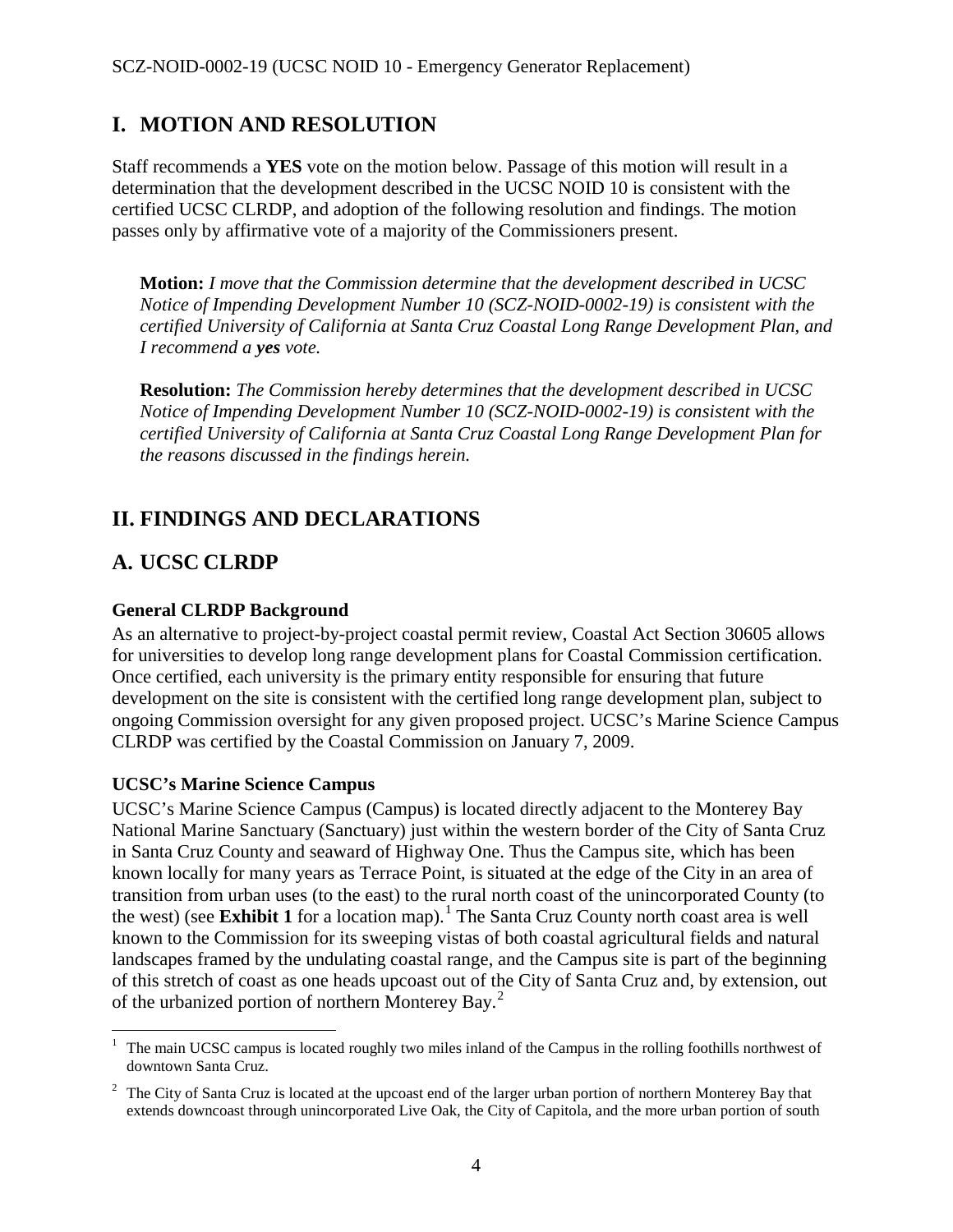## <span id="page-3-0"></span>**I. MOTION AND RESOLUTION**

Staff recommends a **YES** vote on the motion below. Passage of this motion will result in a determination that the development described in the UCSC NOID 10 is consistent with the certified UCSC CLRDP, and adoption of the following resolution and findings. The motion passes only by affirmative vote of a majority of the Commissioners present.

**Motion:** *I move that the Commission determine that the development described in UCSC Notice of Impending Development Number 10 (SCZ-NOID-0002-19) is consistent with the certified University of California at Santa Cruz Coastal Long Range Development Plan, and I recommend a yes vote.* 

**Resolution:** *The Commission hereby determines that the development described in UCSC Notice of Impending Development Number 10 (SCZ-NOID-0002-19) is consistent with the certified University of California at Santa Cruz Coastal Long Range Development Plan for the reasons discussed in the findings herein.* 

## <span id="page-3-1"></span>**II. FINDINGS AND DECLARATIONS**

## <span id="page-3-2"></span>**A. UCSC CLRDP**

#### **General CLRDP Background**

As an alternative to project-by-project coastal permit review, Coastal Act Section 30605 allows for universities to develop long range development plans for Coastal Commission certification. Once certified, each university is the primary entity responsible for ensuring that future development on the site is consistent with the certified long range development plan, subject to ongoing Commission oversight for any given proposed project. UCSC's Marine Science Campus CLRDP was certified by the Coastal Commission on January 7, 2009.

#### **UCSC's Marine Science Campus**

UCSC's Marine Science Campus (Campus) is located directly adjacent to the Monterey Bay National Marine Sanctuary (Sanctuary) just within the western border of the City of Santa Cruz in Santa Cruz County and seaward of Highway One. Thus the Campus site, which has been known locally for many years as Terrace Point, is situated at the edge of the City in an area of transition from urban uses (to the east) to the rural north coast of the unincorporated County (to the west) (see Exhibit [1](#page-3-3) for a location map).<sup>1</sup> The Santa Cruz County north coast area is well known to the Commission for its sweeping vistas of both coastal agricultural fields and natural landscapes framed by the undulating coastal range, and the Campus site is part of the beginning of this stretch of coast as one heads upcoast out of the City of Santa Cruz and, by extension, out of the urbanized portion of northern Monterey Bay.<sup>[2](#page-3-4)</sup>

<span id="page-3-3"></span> $\overline{a}$ <sup>1</sup> The main UCSC campus is located roughly two miles inland of the Campus in the rolling foothills northwest of downtown Santa Cruz.

<span id="page-3-4"></span> $2^2$  The City of Santa Cruz is located at the upcoast end of the larger urban portion of northern Monterey Bay that extends downcoast through unincorporated Live Oak, the City of Capitola, and the more urban portion of south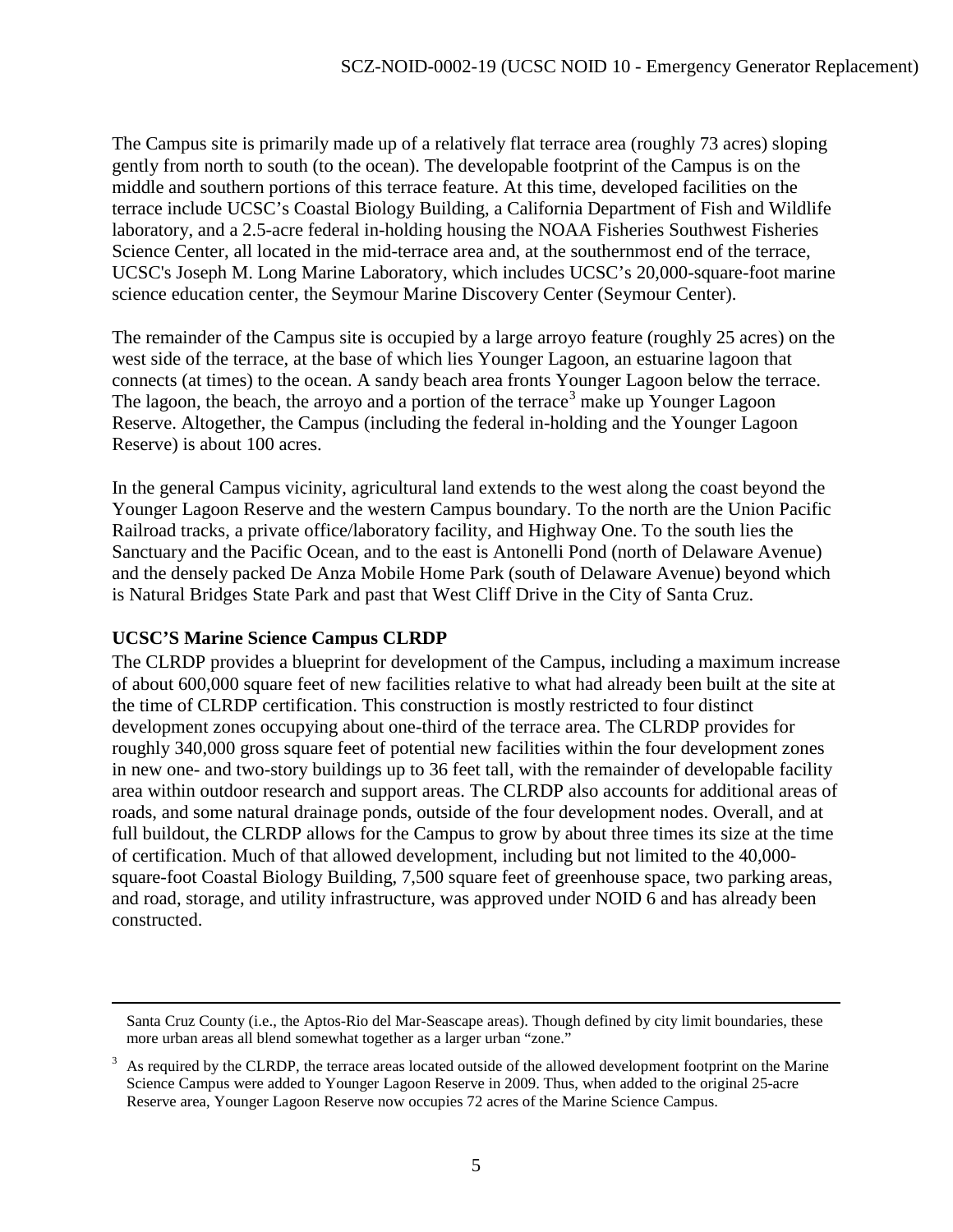The Campus site is primarily made up of a relatively flat terrace area (roughly 73 acres) sloping gently from north to south (to the ocean). The developable footprint of the Campus is on the middle and southern portions of this terrace feature. At this time, developed facilities on the terrace include UCSC's Coastal Biology Building, a California Department of Fish and Wildlife laboratory, and a 2.5-acre federal in-holding housing the NOAA Fisheries Southwest Fisheries Science Center, all located in the mid-terrace area and, at the southernmost end of the terrace, UCSC's Joseph M. Long Marine Laboratory, which includes UCSC's 20,000-square-foot marine science education center, the Seymour Marine Discovery Center (Seymour Center).

The remainder of the Campus site is occupied by a large arroyo feature (roughly 25 acres) on the west side of the terrace, at the base of which lies Younger Lagoon, an estuarine lagoon that connects (at times) to the ocean. A sandy beach area fronts Younger Lagoon below the terrace. The lagoon, the beach, the arroyo and a portion of the terrace<sup>[3](#page-4-0)</sup> make up Younger Lagoon Reserve. Altogether, the Campus (including the federal in-holding and the Younger Lagoon Reserve) is about 100 acres.

In the general Campus vicinity, agricultural land extends to the west along the coast beyond the Younger Lagoon Reserve and the western Campus boundary. To the north are the Union Pacific Railroad tracks, a private office/laboratory facility, and Highway One. To the south lies the Sanctuary and the Pacific Ocean, and to the east is Antonelli Pond (north of Delaware Avenue) and the densely packed De Anza Mobile Home Park (south of Delaware Avenue) beyond which is Natural Bridges State Park and past that West Cliff Drive in the City of Santa Cruz.

#### **UCSC'S Marine Science Campus CLRDP**

 $\overline{a}$ 

The CLRDP provides a blueprint for development of the Campus, including a maximum increase of about 600,000 square feet of new facilities relative to what had already been built at the site at the time of CLRDP certification. This construction is mostly restricted to four distinct development zones occupying about one-third of the terrace area. The CLRDP provides for roughly 340,000 gross square feet of potential new facilities within the four development zones in new one- and two-story buildings up to 36 feet tall, with the remainder of developable facility area within outdoor research and support areas. The CLRDP also accounts for additional areas of roads, and some natural drainage ponds, outside of the four development nodes. Overall, and at full buildout, the CLRDP allows for the Campus to grow by about three times its size at the time of certification. Much of that allowed development, including but not limited to the 40,000 square-foot Coastal Biology Building, 7,500 square feet of greenhouse space, two parking areas, and road, storage, and utility infrastructure, was approved under NOID 6 and has already been constructed.

Santa Cruz County (i.e., the Aptos-Rio del Mar-Seascape areas). Though defined by city limit boundaries, these more urban areas all blend somewhat together as a larger urban "zone."

<span id="page-4-0"></span><sup>3</sup> As required by the CLRDP, the terrace areas located outside of the allowed development footprint on the Marine Science Campus were added to Younger Lagoon Reserve in 2009. Thus, when added to the original 25-acre Reserve area, Younger Lagoon Reserve now occupies 72 acres of the Marine Science Campus.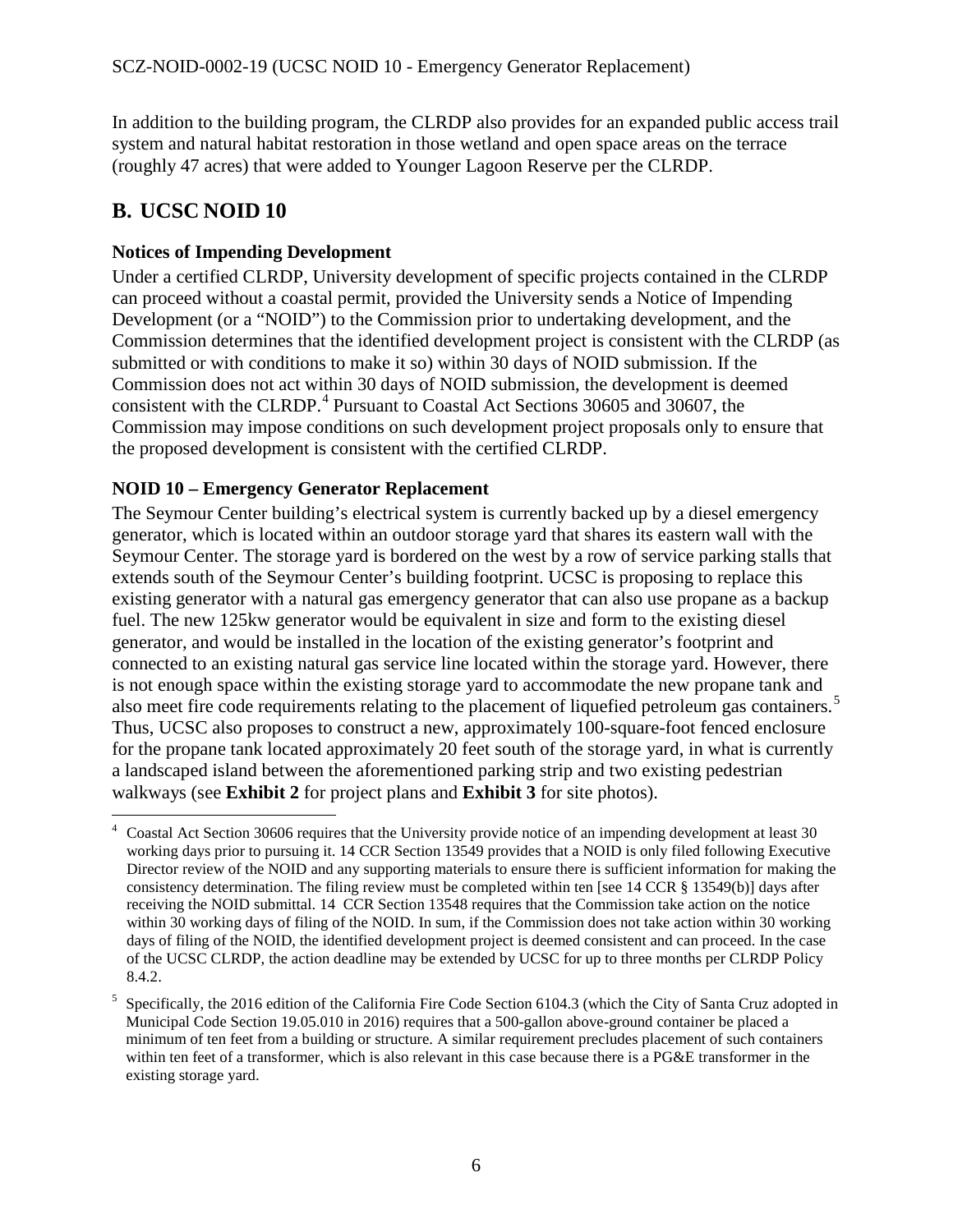In addition to the building program, the CLRDP also provides for an expanded public access trail system and natural habitat restoration in those wetland and open space areas on the terrace (roughly 47 acres) that were added to Younger Lagoon Reserve per the CLRDP.

## <span id="page-5-0"></span>**B. UCSC NOID 10**

#### **Notices of Impending Development**

Under a certified CLRDP, University development of specific projects contained in the CLRDP can proceed without a coastal permit, provided the University sends a Notice of Impending Development (or a "NOID") to the Commission prior to undertaking development, and the Commission determines that the identified development project is consistent with the CLRDP (as submitted or with conditions to make it so) within 30 days of NOID submission. If the Commission does not act within 30 days of NOID submission, the development is deemed consistent with the CLRDP.<sup>[4](#page-5-1)</sup> Pursuant to Coastal Act Sections 30605 and 30607, the Commission may impose conditions on such development project proposals only to ensure that the proposed development is consistent with the certified CLRDP.

#### **NOID 10 – Emergency Generator Replacement**

The Seymour Center building's electrical system is currently backed up by a diesel emergency generator, which is located within an outdoor storage yard that shares its eastern wall with the Seymour Center. The storage yard is bordered on the west by a row of service parking stalls that extends south of the Seymour Center's building footprint. UCSC is proposing to replace this existing generator with a natural gas emergency generator that can also use propane as a backup fuel. The new 125kw generator would be equivalent in size and form to the existing diesel generator, and would be installed in the location of the existing generator's footprint and connected to an existing natural gas service line located within the storage yard. However, there is not enough space within the existing storage yard to accommodate the new propane tank and also meet fire code requirements relating to the placement of liquefied petroleum gas containers.<sup>[5](#page-5-2)</sup> Thus, UCSC also proposes to construct a new, approximately 100-square-foot fenced enclosure for the propane tank located approximately 20 feet south of the storage yard, in what is currently a landscaped island between the aforementioned parking strip and two existing pedestrian walkways (see **Exhibit 2** for project plans and **Exhibit 3** for site photos).

<span id="page-5-1"></span> $\overline{a}$ 4 Coastal Act Section 30606 requires that the University provide notice of an impending development at least 30 working days prior to pursuing it. 14 CCR Section 13549 provides that a NOID is only filed following Executive Director review of the NOID and any supporting materials to ensure there is sufficient information for making the consistency determination. The filing review must be completed within ten [see 14 CCR § 13549(b)] days after receiving the NOID submittal. 14 CCR Section 13548 requires that the Commission take action on the notice within 30 working days of filing of the NOID. In sum, if the Commission does not take action within 30 working days of filing of the NOID, the identified development project is deemed consistent and can proceed. In the case of the UCSC CLRDP, the action deadline may be extended by UCSC for up to three months per CLRDP Policy 8.4.2.

<span id="page-5-2"></span><sup>5</sup> Specifically, the 2016 edition of the California Fire Code Section 6104.3 (which the City of Santa Cruz adopted in Municipal Code Section 19.05.010 in 2016) requires that a 500-gallon above-ground container be placed a minimum of ten feet from a building or structure. A similar requirement precludes placement of such containers within ten feet of a transformer, which is also relevant in this case because there is a PG&E transformer in the existing storage yard.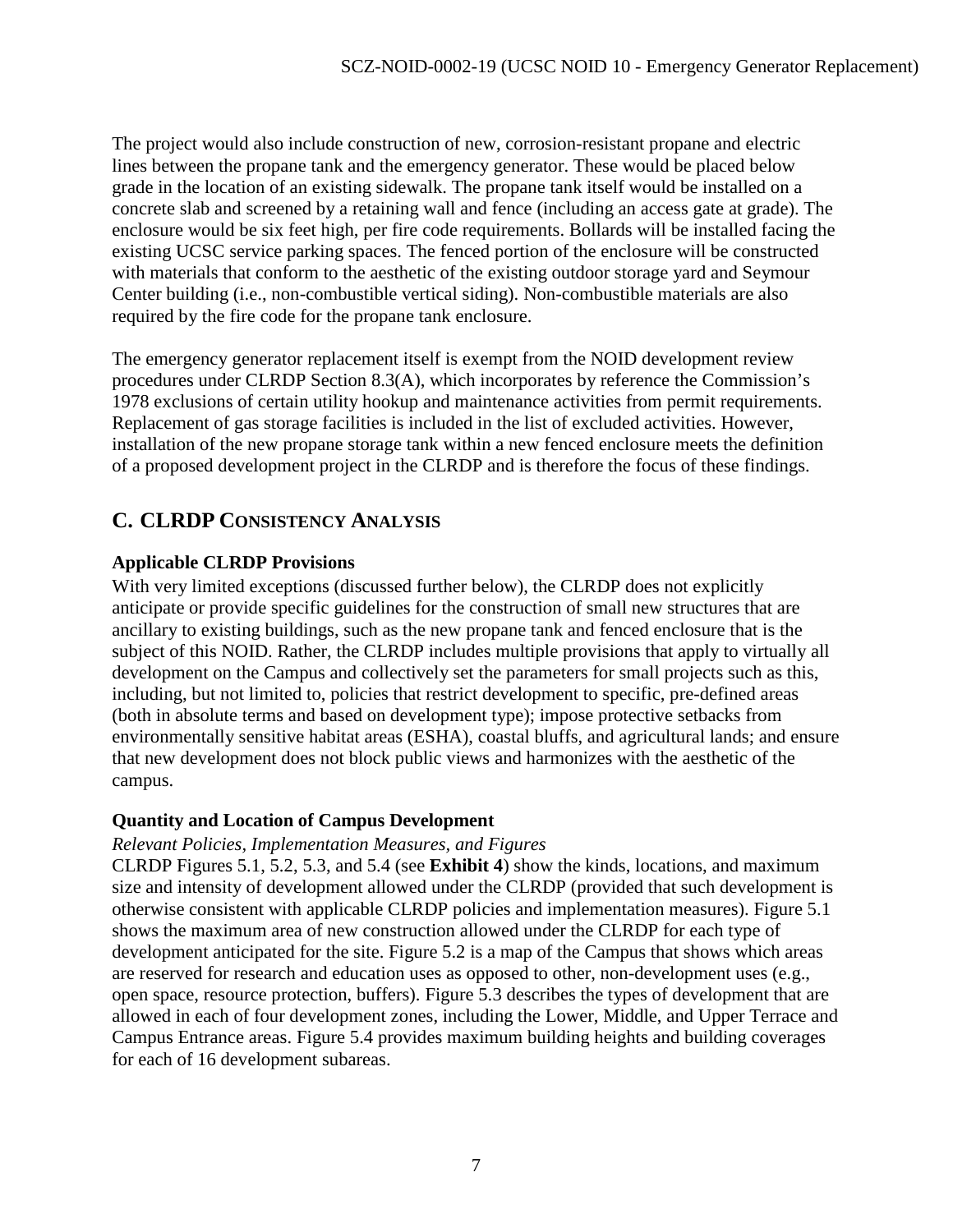The project would also include construction of new, corrosion-resistant propane and electric lines between the propane tank and the emergency generator. These would be placed below grade in the location of an existing sidewalk. The propane tank itself would be installed on a concrete slab and screened by a retaining wall and fence (including an access gate at grade). The enclosure would be six feet high, per fire code requirements. Bollards will be installed facing the existing UCSC service parking spaces. The fenced portion of the enclosure will be constructed with materials that conform to the aesthetic of the existing outdoor storage yard and Seymour Center building (i.e., non-combustible vertical siding). Non-combustible materials are also required by the fire code for the propane tank enclosure.

The emergency generator replacement itself is exempt from the NOID development review procedures under CLRDP Section 8.3(A), which incorporates by reference the Commission's 1978 exclusions of certain utility hookup and maintenance activities from permit requirements. Replacement of gas storage facilities is included in the list of excluded activities. However, installation of the new propane storage tank within a new fenced enclosure meets the definition of a proposed development project in the CLRDP and is therefore the focus of these findings.

## <span id="page-6-0"></span>**C. CLRDP CONSISTENCY ANALYSIS**

#### **Applicable CLRDP Provisions**

With very limited exceptions (discussed further below), the CLRDP does not explicitly anticipate or provide specific guidelines for the construction of small new structures that are ancillary to existing buildings, such as the new propane tank and fenced enclosure that is the subject of this NOID. Rather, the CLRDP includes multiple provisions that apply to virtually all development on the Campus and collectively set the parameters for small projects such as this, including, but not limited to, policies that restrict development to specific, pre-defined areas (both in absolute terms and based on development type); impose protective setbacks from environmentally sensitive habitat areas (ESHA), coastal bluffs, and agricultural lands; and ensure that new development does not block public views and harmonizes with the aesthetic of the campus.

#### **Quantity and Location of Campus Development**

#### *Relevant Policies, Implementation Measures, and Figures*

CLRDP Figures 5.1, 5.2, 5.3, and 5.4 (see **Exhibit 4**) show the kinds, locations, and maximum size and intensity of development allowed under the CLRDP (provided that such development is otherwise consistent with applicable CLRDP policies and implementation measures). Figure 5.1 shows the maximum area of new construction allowed under the CLRDP for each type of development anticipated for the site. Figure 5.2 is a map of the Campus that shows which areas are reserved for research and education uses as opposed to other, non-development uses (e.g., open space, resource protection, buffers). Figure 5.3 describes the types of development that are allowed in each of four development zones, including the Lower, Middle, and Upper Terrace and Campus Entrance areas. Figure 5.4 provides maximum building heights and building coverages for each of 16 development subareas.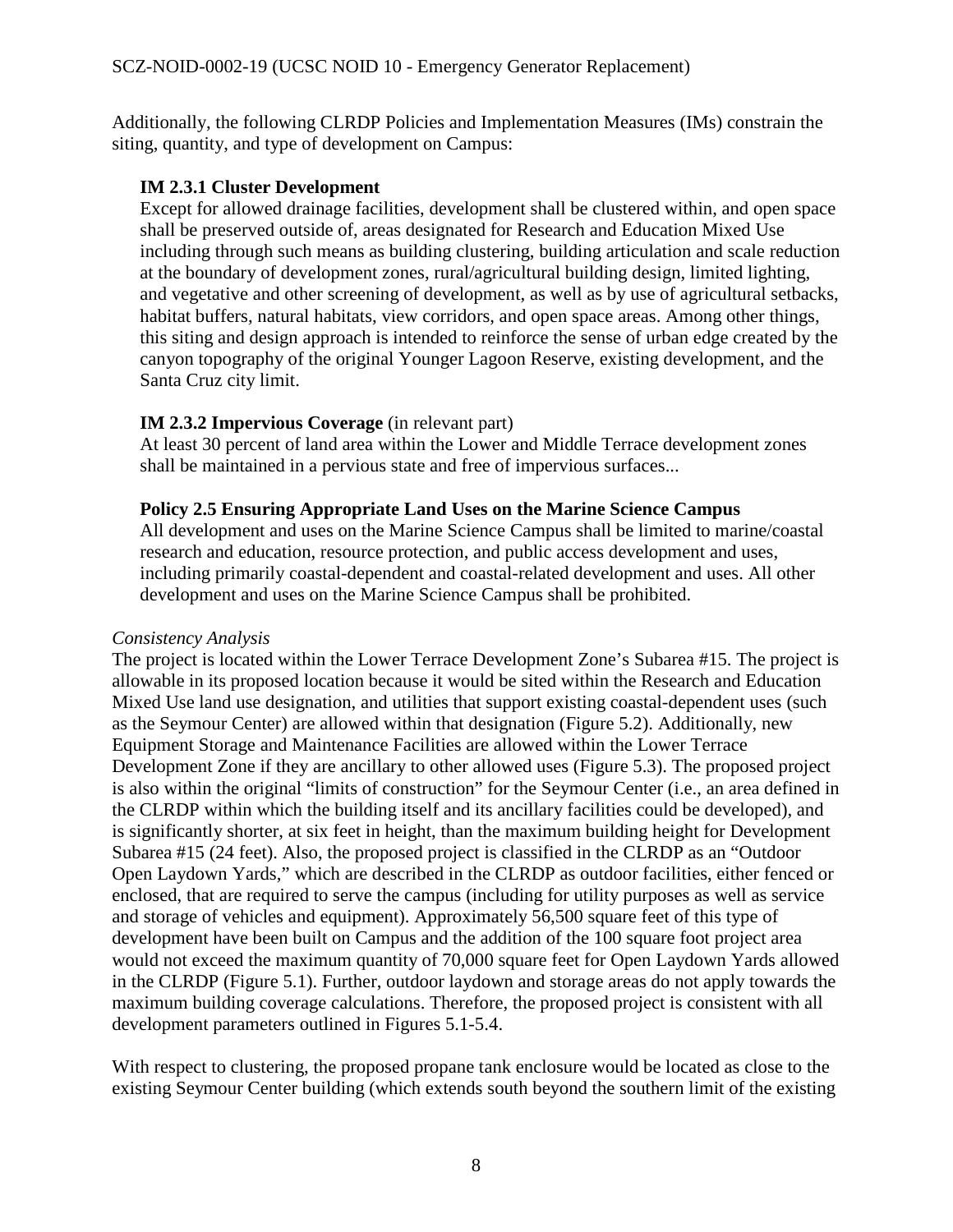Additionally, the following CLRDP Policies and Implementation Measures (IMs) constrain the siting, quantity, and type of development on Campus:

#### **IM 2.3.1 Cluster Development**

Except for allowed drainage facilities, development shall be clustered within, and open space shall be preserved outside of, areas designated for Research and Education Mixed Use including through such means as building clustering, building articulation and scale reduction at the boundary of development zones, rural/agricultural building design, limited lighting, and vegetative and other screening of development, as well as by use of agricultural setbacks, habitat buffers, natural habitats, view corridors, and open space areas. Among other things, this siting and design approach is intended to reinforce the sense of urban edge created by the canyon topography of the original Younger Lagoon Reserve, existing development, and the Santa Cruz city limit.

#### **IM 2.3.2 Impervious Coverage** (in relevant part)

At least 30 percent of land area within the Lower and Middle Terrace development zones shall be maintained in a pervious state and free of impervious surfaces...

#### **Policy 2.5 Ensuring Appropriate Land Uses on the Marine Science Campus**

All development and uses on the Marine Science Campus shall be limited to marine/coastal research and education, resource protection, and public access development and uses, including primarily coastal-dependent and coastal-related development and uses. All other development and uses on the Marine Science Campus shall be prohibited.

#### *Consistency Analysis*

The project is located within the Lower Terrace Development Zone's Subarea #15. The project is allowable in its proposed location because it would be sited within the Research and Education Mixed Use land use designation, and utilities that support existing coastal-dependent uses (such as the Seymour Center) are allowed within that designation (Figure 5.2). Additionally, new Equipment Storage and Maintenance Facilities are allowed within the Lower Terrace Development Zone if they are ancillary to other allowed uses (Figure 5.3). The proposed project is also within the original "limits of construction" for the Seymour Center (i.e., an area defined in the CLRDP within which the building itself and its ancillary facilities could be developed), and is significantly shorter, at six feet in height, than the maximum building height for Development Subarea #15 (24 feet). Also, the proposed project is classified in the CLRDP as an "Outdoor Open Laydown Yards," which are described in the CLRDP as outdoor facilities, either fenced or enclosed, that are required to serve the campus (including for utility purposes as well as service and storage of vehicles and equipment). Approximately 56,500 square feet of this type of development have been built on Campus and the addition of the 100 square foot project area would not exceed the maximum quantity of 70,000 square feet for Open Laydown Yards allowed in the CLRDP (Figure 5.1). Further, outdoor laydown and storage areas do not apply towards the maximum building coverage calculations. Therefore, the proposed project is consistent with all development parameters outlined in Figures 5.1-5.4.

With respect to clustering, the proposed propane tank enclosure would be located as close to the existing Seymour Center building (which extends south beyond the southern limit of the existing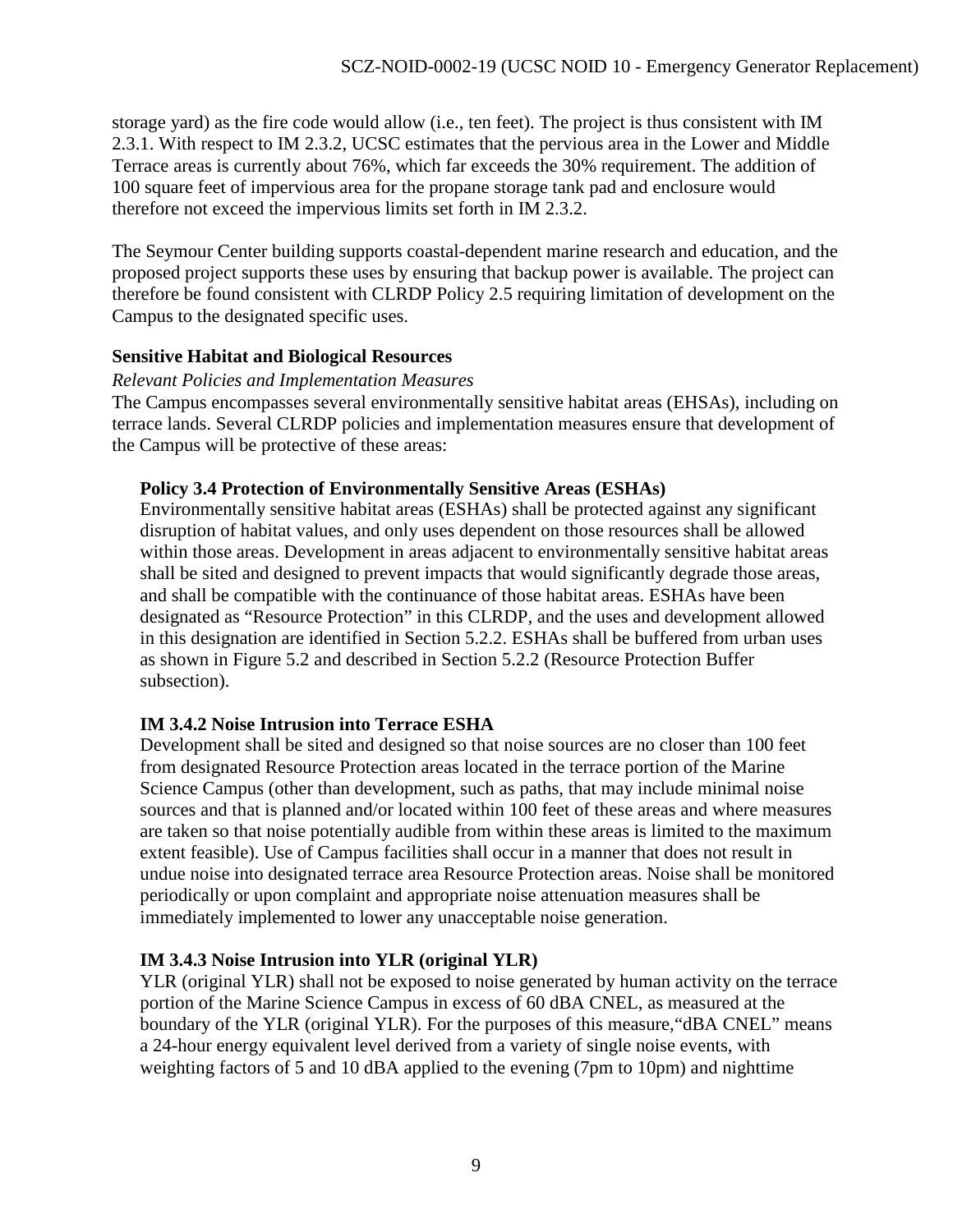storage yard) as the fire code would allow (i.e., ten feet). The project is thus consistent with IM 2.3.1. With respect to IM 2.3.2, UCSC estimates that the pervious area in the Lower and Middle Terrace areas is currently about 76%, which far exceeds the 30% requirement. The addition of 100 square feet of impervious area for the propane storage tank pad and enclosure would therefore not exceed the impervious limits set forth in IM 2.3.2.

The Seymour Center building supports coastal-dependent marine research and education, and the proposed project supports these uses by ensuring that backup power is available. The project can therefore be found consistent with CLRDP Policy 2.5 requiring limitation of development on the Campus to the designated specific uses.

#### **Sensitive Habitat and Biological Resources**

#### *Relevant Policies and Implementation Measures*

The Campus encompasses several environmentally sensitive habitat areas (EHSAs), including on terrace lands. Several CLRDP policies and implementation measures ensure that development of the Campus will be protective of these areas:

#### **Policy 3.4 Protection of Environmentally Sensitive Areas (ESHAs)**

Environmentally sensitive habitat areas (ESHAs) shall be protected against any significant disruption of habitat values, and only uses dependent on those resources shall be allowed within those areas. Development in areas adjacent to environmentally sensitive habitat areas shall be sited and designed to prevent impacts that would significantly degrade those areas, and shall be compatible with the continuance of those habitat areas. ESHAs have been designated as "Resource Protection" in this CLRDP, and the uses and development allowed in this designation are identified in Section 5.2.2. ESHAs shall be buffered from urban uses as shown in Figure 5.2 and described in Section 5.2.2 (Resource Protection Buffer subsection).

#### **IM 3.4.2 Noise Intrusion into Terrace ESHA**

Development shall be sited and designed so that noise sources are no closer than 100 feet from designated Resource Protection areas located in the terrace portion of the Marine Science Campus (other than development, such as paths, that may include minimal noise sources and that is planned and/or located within 100 feet of these areas and where measures are taken so that noise potentially audible from within these areas is limited to the maximum extent feasible). Use of Campus facilities shall occur in a manner that does not result in undue noise into designated terrace area Resource Protection areas. Noise shall be monitored periodically or upon complaint and appropriate noise attenuation measures shall be immediately implemented to lower any unacceptable noise generation.

#### **IM 3.4.3 Noise Intrusion into YLR (original YLR)**

YLR (original YLR) shall not be exposed to noise generated by human activity on the terrace portion of the Marine Science Campus in excess of 60 dBA CNEL, as measured at the boundary of the YLR (original YLR). For the purposes of this measure,"dBA CNEL" means a 24-hour energy equivalent level derived from a variety of single noise events, with weighting factors of 5 and 10 dBA applied to the evening (7pm to 10pm) and nighttime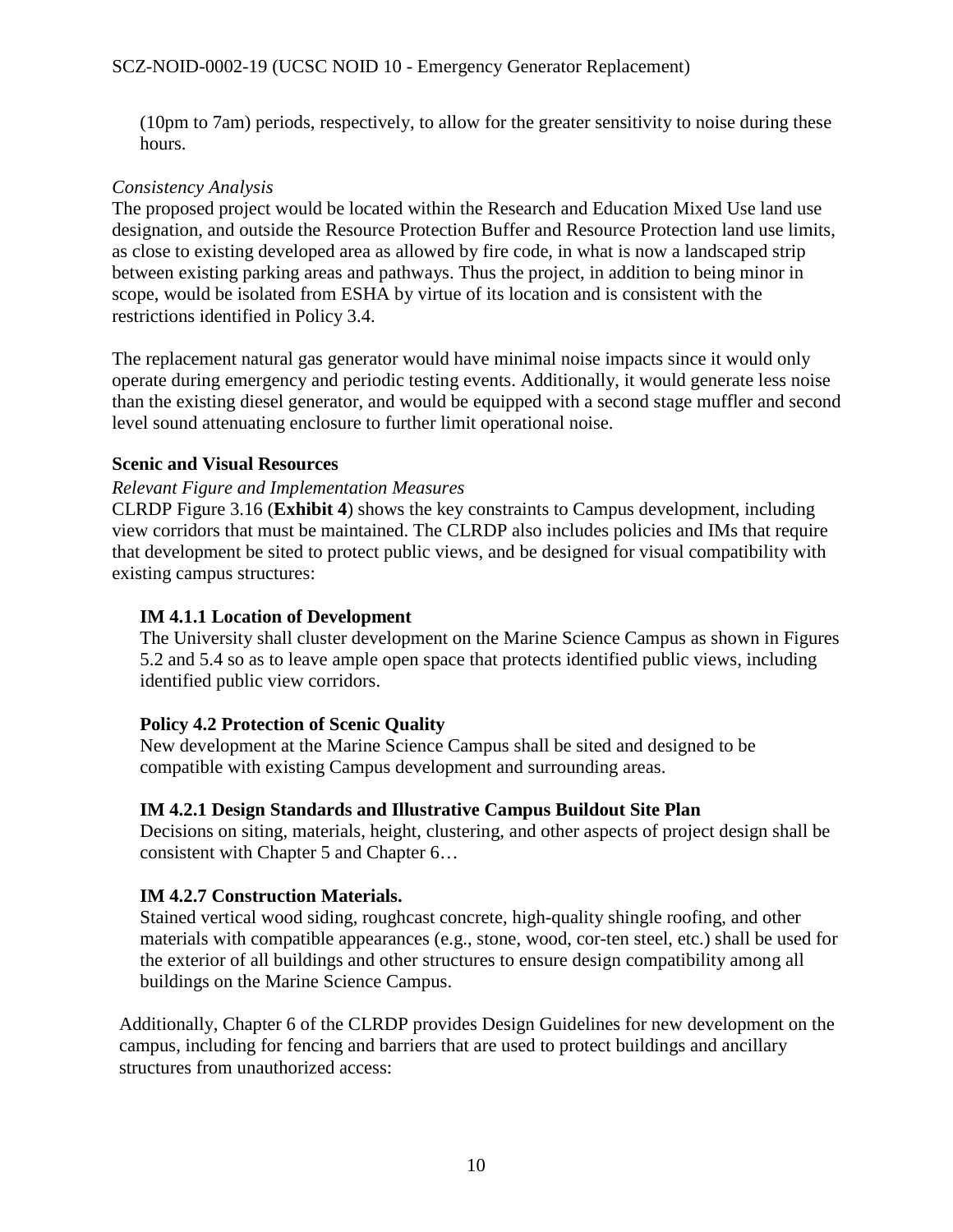(10pm to 7am) periods, respectively, to allow for the greater sensitivity to noise during these hours.

#### *Consistency Analysis*

The proposed project would be located within the Research and Education Mixed Use land use designation, and outside the Resource Protection Buffer and Resource Protection land use limits, as close to existing developed area as allowed by fire code, in what is now a landscaped strip between existing parking areas and pathways. Thus the project, in addition to being minor in scope, would be isolated from ESHA by virtue of its location and is consistent with the restrictions identified in Policy 3.4.

The replacement natural gas generator would have minimal noise impacts since it would only operate during emergency and periodic testing events. Additionally, it would generate less noise than the existing diesel generator, and would be equipped with a second stage muffler and second level sound attenuating enclosure to further limit operational noise.

#### **Scenic and Visual Resources**

#### *Relevant Figure and Implementation Measures*

CLRDP Figure 3.16 (**Exhibit 4**) shows the key constraints to Campus development, including view corridors that must be maintained. The CLRDP also includes policies and IMs that require that development be sited to protect public views, and be designed for visual compatibility with existing campus structures:

#### **IM 4.1.1 Location of Development**

The University shall cluster development on the Marine Science Campus as shown in Figures 5.2 and 5.4 so as to leave ample open space that protects identified public views, including identified public view corridors.

#### **Policy 4.2 Protection of Scenic Quality**

New development at the Marine Science Campus shall be sited and designed to be compatible with existing Campus development and surrounding areas.

#### **IM 4.2.1 Design Standards and Illustrative Campus Buildout Site Plan**

Decisions on siting, materials, height, clustering, and other aspects of project design shall be consistent with Chapter 5 and Chapter 6…

#### **IM 4.2.7 Construction Materials.**

Stained vertical wood siding, roughcast concrete, high-quality shingle roofing, and other materials with compatible appearances (e.g., stone, wood, cor-ten steel, etc.) shall be used for the exterior of all buildings and other structures to ensure design compatibility among all buildings on the Marine Science Campus.

Additionally, Chapter 6 of the CLRDP provides Design Guidelines for new development on the campus, including for fencing and barriers that are used to protect buildings and ancillary structures from unauthorized access: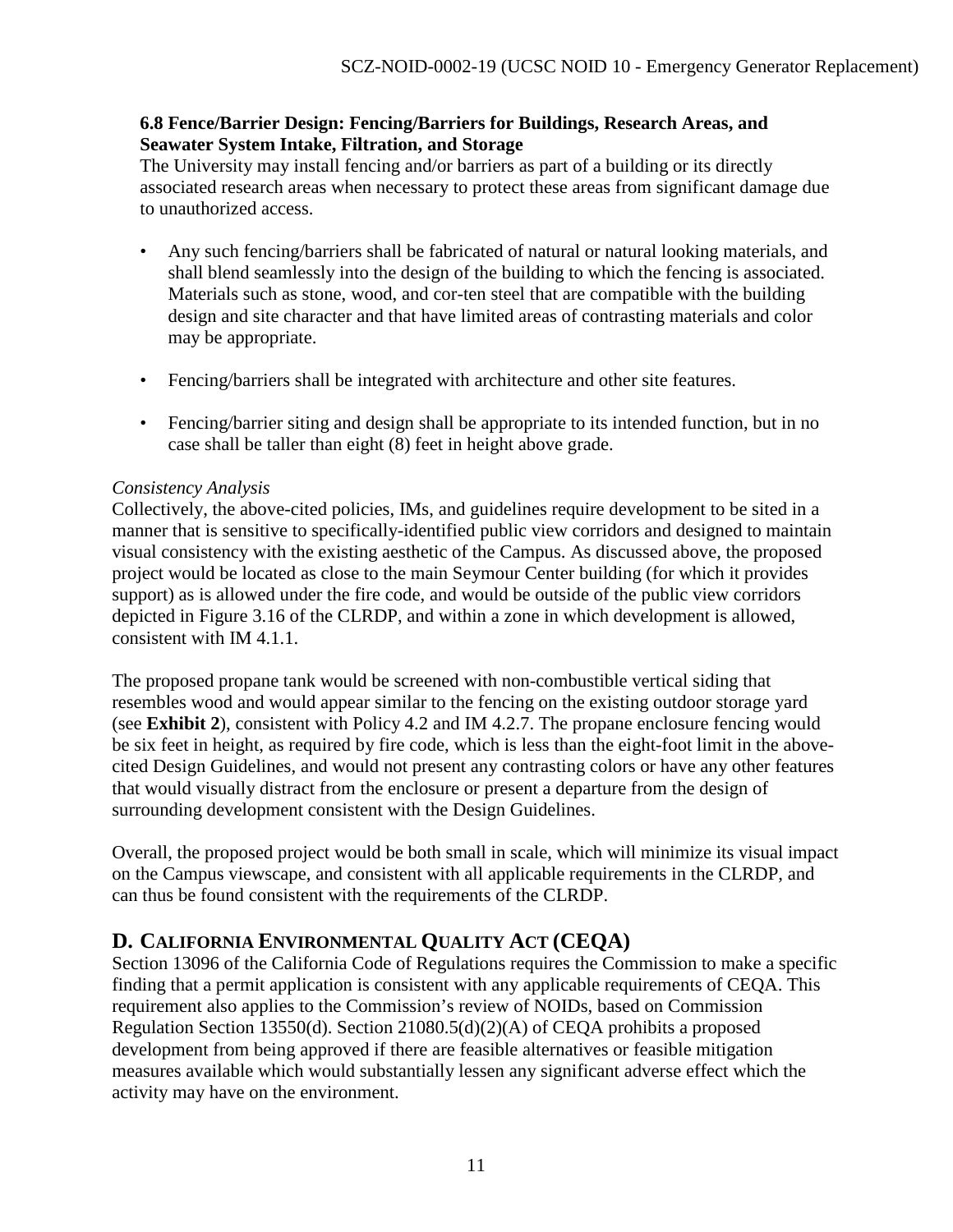#### **6.8 Fence/Barrier Design: Fencing/Barriers for Buildings, Research Areas, and Seawater System Intake, Filtration, and Storage**

The University may install fencing and/or barriers as part of a building or its directly associated research areas when necessary to protect these areas from significant damage due to unauthorized access.

- Any such fencing/barriers shall be fabricated of natural or natural looking materials, and shall blend seamlessly into the design of the building to which the fencing is associated. Materials such as stone, wood, and cor-ten steel that are compatible with the building design and site character and that have limited areas of contrasting materials and color may be appropriate.
- Fencing/barriers shall be integrated with architecture and other site features.
- Fencing/barrier siting and design shall be appropriate to its intended function, but in no case shall be taller than eight (8) feet in height above grade.

#### *Consistency Analysis*

Collectively, the above-cited policies, IMs, and guidelines require development to be sited in a manner that is sensitive to specifically-identified public view corridors and designed to maintain visual consistency with the existing aesthetic of the Campus. As discussed above, the proposed project would be located as close to the main Seymour Center building (for which it provides support) as is allowed under the fire code, and would be outside of the public view corridors depicted in Figure 3.16 of the CLRDP, and within a zone in which development is allowed, consistent with IM 4.1.1.

The proposed propane tank would be screened with non-combustible vertical siding that resembles wood and would appear similar to the fencing on the existing outdoor storage yard (see **Exhibit 2**), consistent with Policy 4.2 and IM 4.2.7. The propane enclosure fencing would be six feet in height, as required by fire code, which is less than the eight-foot limit in the abovecited Design Guidelines, and would not present any contrasting colors or have any other features that would visually distract from the enclosure or present a departure from the design of surrounding development consistent with the Design Guidelines.

Overall, the proposed project would be both small in scale, which will minimize its visual impact on the Campus viewscape, and consistent with all applicable requirements in the CLRDP, and can thus be found consistent with the requirements of the CLRDP.

## <span id="page-10-0"></span>**D. CALIFORNIA ENVIRONMENTAL QUALITY ACT (CEQA)**

Section 13096 of the California Code of Regulations requires the Commission to make a specific finding that a permit application is consistent with any applicable requirements of CEQA. This requirement also applies to the Commission's review of NOIDs, based on Commission Regulation Section 13550(d). Section 21080.5(d)(2)(A) of CEQA prohibits a proposed development from being approved if there are feasible alternatives or feasible mitigation measures available which would substantially lessen any significant adverse effect which the activity may have on the environment.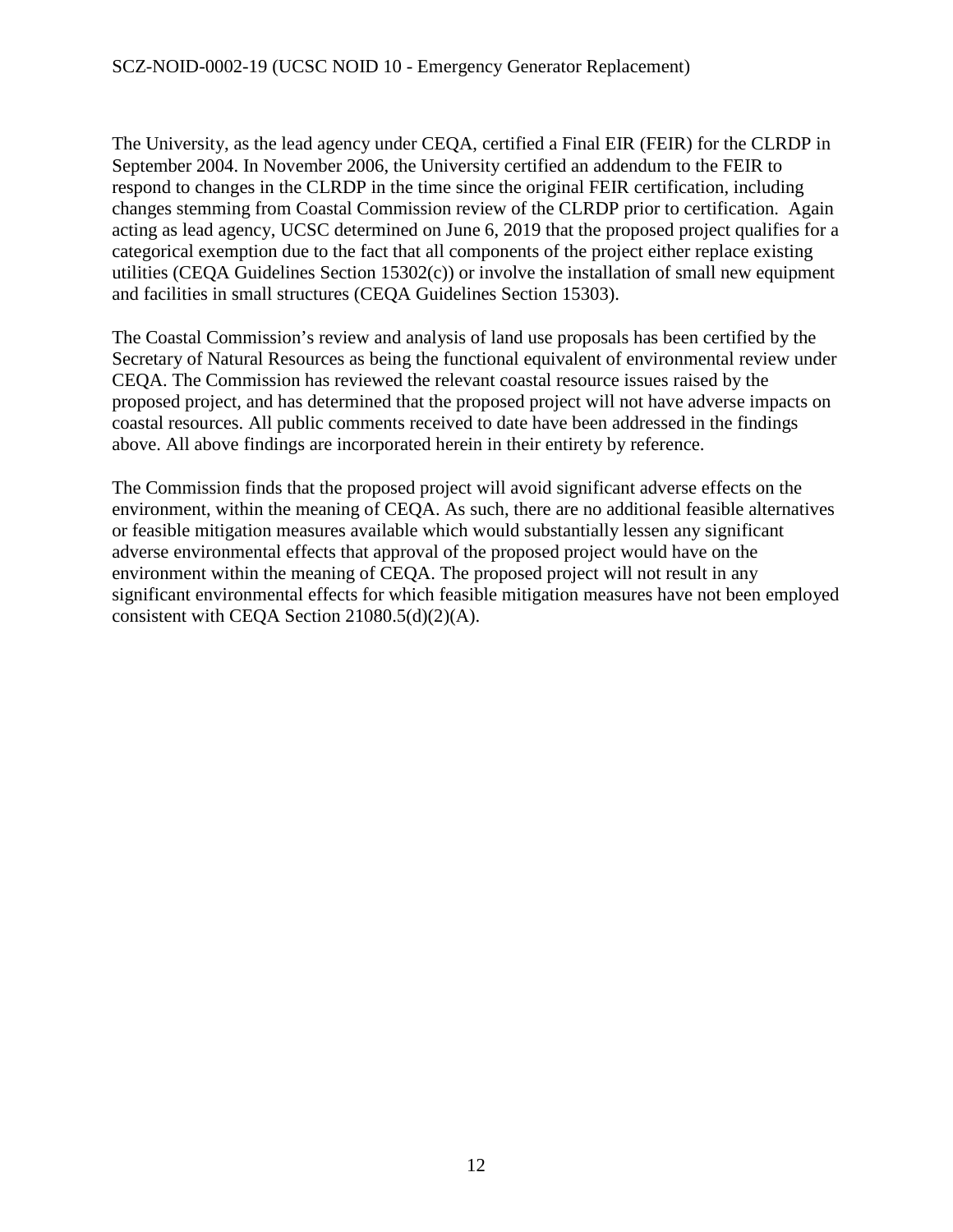The University, as the lead agency under CEQA, certified a Final EIR (FEIR) for the CLRDP in September 2004. In November 2006, the University certified an addendum to the FEIR to respond to changes in the CLRDP in the time since the original FEIR certification, including changes stemming from Coastal Commission review of the CLRDP prior to certification. Again acting as lead agency, UCSC determined on June 6, 2019 that the proposed project qualifies for a categorical exemption due to the fact that all components of the project either replace existing utilities (CEQA Guidelines Section 15302(c)) or involve the installation of small new equipment and facilities in small structures (CEQA Guidelines Section 15303).

The Coastal Commission's review and analysis of land use proposals has been certified by the Secretary of Natural Resources as being the functional equivalent of environmental review under CEQA. The Commission has reviewed the relevant coastal resource issues raised by the proposed project, and has determined that the proposed project will not have adverse impacts on coastal resources. All public comments received to date have been addressed in the findings above. All above findings are incorporated herein in their entirety by reference.

The Commission finds that the proposed project will avoid significant adverse effects on the environment, within the meaning of CEQA. As such, there are no additional feasible alternatives or feasible mitigation measures available which would substantially lessen any significant adverse environmental effects that approval of the proposed project would have on the environment within the meaning of CEQA. The proposed project will not result in any significant environmental effects for which feasible mitigation measures have not been employed consistent with CEQA Section 21080.5(d)(2)(A).